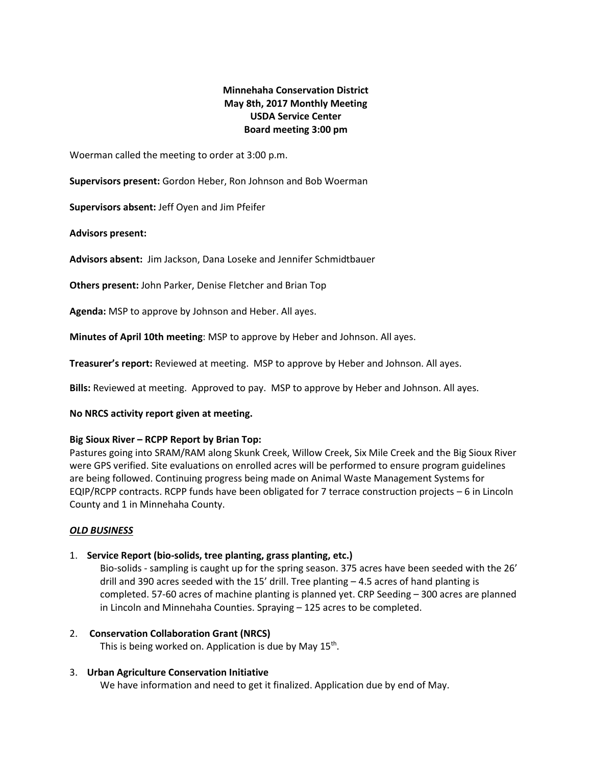# **Minnehaha Conservation District May 8th, 2017 Monthly Meeting USDA Service Center Board meeting 3:00 pm**

Woerman called the meeting to order at 3:00 p.m.

**Supervisors present:** Gordon Heber, Ron Johnson and Bob Woerman

**Supervisors absent:** Jeff Oyen and Jim Pfeifer

**Advisors present:** 

**Advisors absent:** Jim Jackson, Dana Loseke and Jennifer Schmidtbauer

**Others present:** John Parker, Denise Fletcher and Brian Top

**Agenda:** MSP to approve by Johnson and Heber. All ayes.

**Minutes of April 10th meeting**: MSP to approve by Heber and Johnson. All ayes.

**Treasurer's report:** Reviewed at meeting. MSP to approve by Heber and Johnson. All ayes.

**Bills:** Reviewed at meeting. Approved to pay. MSP to approve by Heber and Johnson. All ayes.

### **No NRCS activity report given at meeting.**

### **Big Sioux River – RCPP Report by Brian Top:**

Pastures going into SRAM/RAM along Skunk Creek, Willow Creek, Six Mile Creek and the Big Sioux River were GPS verified. Site evaluations on enrolled acres will be performed to ensure program guidelines are being followed. Continuing progress being made on Animal Waste Management Systems for EQIP/RCPP contracts. RCPP funds have been obligated for 7 terrace construction projects – 6 in Lincoln County and 1 in Minnehaha County.

### *OLD BUSINESS*

# 1. **Service Report (bio-solids, tree planting, grass planting, etc.)**

Bio-solids - sampling is caught up for the spring season. 375 acres have been seeded with the 26' drill and 390 acres seeded with the 15' drill. Tree planting – 4.5 acres of hand planting is completed. 57-60 acres of machine planting is planned yet. CRP Seeding – 300 acres are planned in Lincoln and Minnehaha Counties. Spraying – 125 acres to be completed.

2. **Conservation Collaboration Grant (NRCS)** This is being worked on. Application is due by May  $15^{th}$ .

# 3. **Urban Agriculture Conservation Initiative**

We have information and need to get it finalized. Application due by end of May.